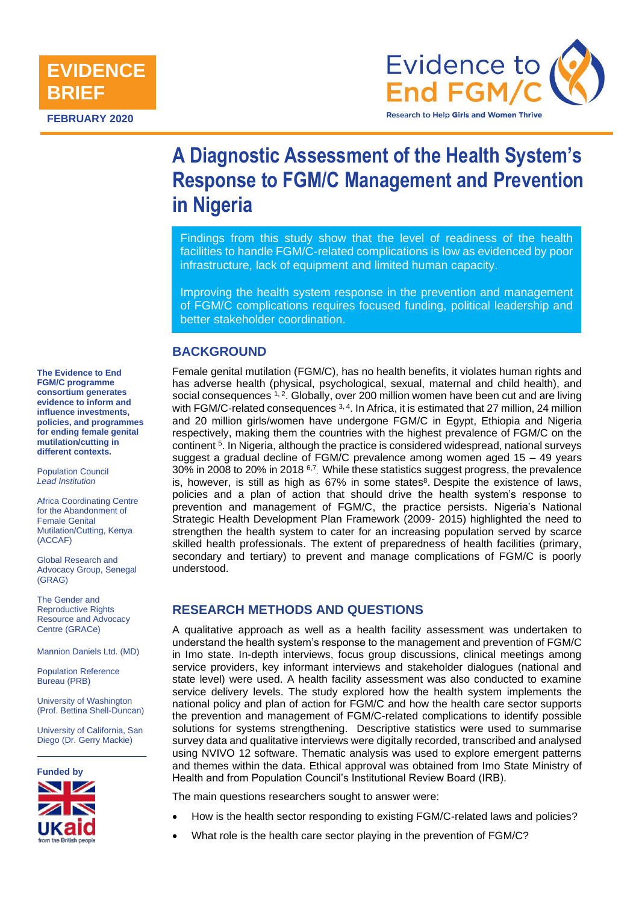

**FEBRUARY 2020**



# **A Diagnostic Assessment of the Health System's Response to FGM/C Management and Prevention in Nigeria**

Findings from this study show that the level of readiness of the health facilities to handle FGM/C-related complications is low as evidenced by poor infrastructure, lack of equipment and limited human capacity.

Improving the health system response in the prevention and management of FGM/C complications requires focused funding, political leadership and better stakeholder coordination.

# **BACKGROUND**

Female genital mutilation (FGM/C), has no health benefits, it violates human rights and has adverse health (physical, psychological, sexual, maternal and child health), and social consequences  $1, 2$ . Globally, over 200 million women have been cut and are living with FGM/C-related consequences  $3, 4$ . In Africa, it is estimated that 27 million, 24 million and 20 million girls/women have undergone FGM/C in Egypt, Ethiopia and Nigeria respectively, making them the countries with the highest prevalence of FGM/C on the continent <sup>5</sup>. In Nigeria, although the practice is considered widespread, national surveys suggest a gradual decline of FGM/C prevalence among women aged 15 – 49 years 30% in 2008 to 20% in 2018 <sup>6,7</sup>. While these statistics suggest progress, the prevalence is, however, is still as high as  $67\%$  in some states $8$ . Despite the existence of laws, policies and a plan of action that should drive the health system's response to prevention and management of FGM/C, the practice persists. Nigeria's National Strategic Health Development Plan Framework (2009- 2015) highlighted the need to strengthen the health system to cater for an increasing population served by scarce skilled health professionals. The extent of preparedness of health facilities (primary, secondary and tertiary) to prevent and manage complications of FGM/C is poorly understood.

## **RESEARCH METHODS AND QUESTIONS**

A qualitative approach as well as a health facility assessment was undertaken to understand the health system's response to the management and prevention of FGM/C in Imo state. In-depth interviews, focus group discussions, clinical meetings among service providers, key informant interviews and stakeholder dialogues (national and state level) were used. A health facility assessment was also conducted to examine service delivery levels. The study explored how the health system implements the national policy and plan of action for FGM/C and how the health care sector supports the prevention and management of FGM/C-related complications to identify possible solutions for systems strengthening. Descriptive statistics were used to summarise survey data and qualitative interviews were digitally recorded, transcribed and analysed using NVIVO 12 software. Thematic analysis was used to explore emergent patterns and themes within the data. Ethical approval was obtained from Imo State Ministry of Health and from Population Council's Institutional Review Board (IRB).

The main questions researchers sought to answer were:

- How is the health sector responding to existing FGM/C-related laws and policies?
- What role is the health care sector playing in the prevention of FGM/C?

**The Evidence to End FGM/C programme consortium generates evidence to inform and influence investments, policies, and programmes for ending female genital mutilation/cutting in different contexts.** 

Population Council *Lead Institution*

Africa Coordinating Centre for the Abandonment of Female Genital Mutilation/Cutting, Kenya (ACCAF)

Global Research and Advocacy Group, Senegal (GRAG)

The Gender and Reproductive Rights Resource and Advocacy Centre (GRACe)

Mannion Daniels Ltd. (MD)

Population Reference Bureau (PRB)

University of Washington (Prof. Bettina Shell-Duncan)

University of California, San Diego (Dr. Gerry Mackie)